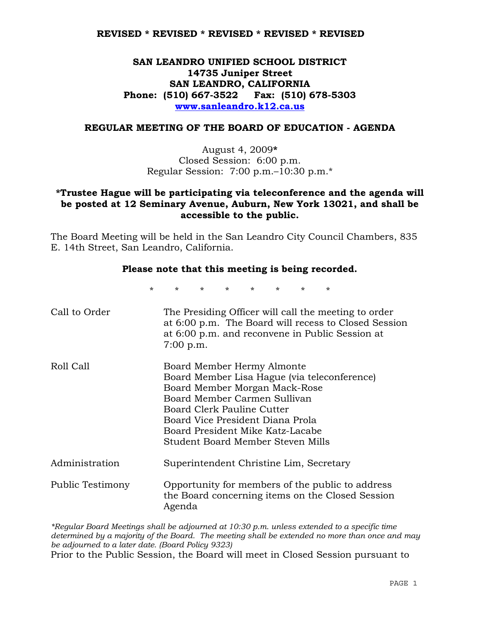# **SAN LEANDRO UNIFIED SCHOOL DISTRICT 14735 Juniper Street SAN LEANDRO, CALIFORNIA Phone: (510) 667-3522 Fax: (510) 678-5303 www.sanleandro.k12.ca.us**

#### **REGULAR MEETING OF THE BOARD OF EDUCATION - AGENDA**

August 4, 2009**\***  Closed Session: 6:00 p.m. Regular Session: 7:00 p.m.–10:30 p.m.\*

## **\*Trustee Hague will be participating via teleconference and the agenda will be posted at 12 Seminary Avenue, Auburn, New York 13021, and shall be accessible to the public.**

The Board Meeting will be held in the San Leandro City Council Chambers, 835 E. 14th Street, San Leandro, California.

### **Please note that this meeting is being recorded.**

\* \* \* \* \* \* \* \*

| Call to Order    | The Presiding Officer will call the meeting to order<br>at 6:00 p.m. The Board will recess to Closed Session<br>at 6:00 p.m. and reconvene in Public Session at<br>7:00 p.m.                                                                                                           |
|------------------|----------------------------------------------------------------------------------------------------------------------------------------------------------------------------------------------------------------------------------------------------------------------------------------|
| Roll Call        | Board Member Hermy Almonte<br>Board Member Lisa Hague (via teleconference)<br>Board Member Morgan Mack-Rose<br>Board Member Carmen Sullivan<br>Board Clerk Pauline Cutter<br>Board Vice President Diana Prola<br>Board President Mike Katz-Lacabe<br>Student Board Member Steven Mills |
| Administration   | Superintendent Christine Lim, Secretary                                                                                                                                                                                                                                                |
| Public Testimony | Opportunity for members of the public to address<br>the Board concerning items on the Closed Session<br>Agenda                                                                                                                                                                         |

*\*Regular Board Meetings shall be adjourned at 10:30 p.m. unless extended to a specific time determined by a majority of the Board. The meeting shall be extended no more than once and may be adjourned to a later date. (Board Policy 9323)*  Prior to the Public Session, the Board will meet in Closed Session pursuant to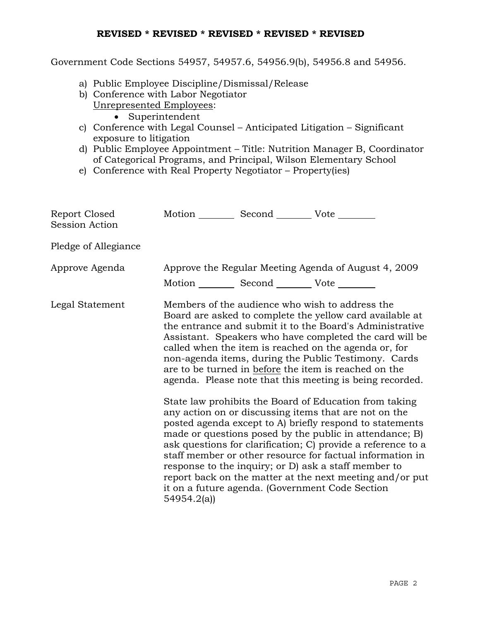Government Code Sections 54957, 54957.6, 54956.9(b), 54956.8 and 54956.

- a) Public Employee Discipline/Dismissal/Release
- b) Conference with Labor Negotiator Unrepresented Employees:
	- Superintendent
- c) Conference with Legal Counsel Anticipated Litigation Significant exposure to litigation
- d) Public Employee Appointment Title: Nutrition Manager B, Coordinator of Categorical Programs, and Principal, Wilson Elementary School
- e) Conference with Real Property Negotiator Property(ies)

| Report Closed<br><b>Session Action</b> | Motion __________ Second __________ Vote ________                                                                                                                                                                                                                                                                                                                                                                                                                                                                                                                                                                                                                                                                                                                                                                                                                                                                                                                                                                                                                           |  |                                                      |
|----------------------------------------|-----------------------------------------------------------------------------------------------------------------------------------------------------------------------------------------------------------------------------------------------------------------------------------------------------------------------------------------------------------------------------------------------------------------------------------------------------------------------------------------------------------------------------------------------------------------------------------------------------------------------------------------------------------------------------------------------------------------------------------------------------------------------------------------------------------------------------------------------------------------------------------------------------------------------------------------------------------------------------------------------------------------------------------------------------------------------------|--|------------------------------------------------------|
| Pledge of Allegiance                   |                                                                                                                                                                                                                                                                                                                                                                                                                                                                                                                                                                                                                                                                                                                                                                                                                                                                                                                                                                                                                                                                             |  |                                                      |
| Approve Agenda                         |                                                                                                                                                                                                                                                                                                                                                                                                                                                                                                                                                                                                                                                                                                                                                                                                                                                                                                                                                                                                                                                                             |  | Approve the Regular Meeting Agenda of August 4, 2009 |
| Legal Statement                        | Motion __________ Second __________ Vote ________<br>Members of the audience who wish to address the<br>Board are asked to complete the yellow card available at<br>the entrance and submit it to the Board's Administrative<br>Assistant. Speakers who have completed the card will be<br>called when the item is reached on the agenda or, for<br>non-agenda items, during the Public Testimony. Cards<br>are to be turned in before the item is reached on the<br>agenda. Please note that this meeting is being recorded.<br>State law prohibits the Board of Education from taking<br>any action on or discussing items that are not on the<br>posted agenda except to A) briefly respond to statements<br>made or questions posed by the public in attendance; B)<br>ask questions for clarification; C) provide a reference to a<br>staff member or other resource for factual information in<br>response to the inquiry; or D) ask a staff member to<br>report back on the matter at the next meeting and/or put<br>it on a future agenda. (Government Code Section |  |                                                      |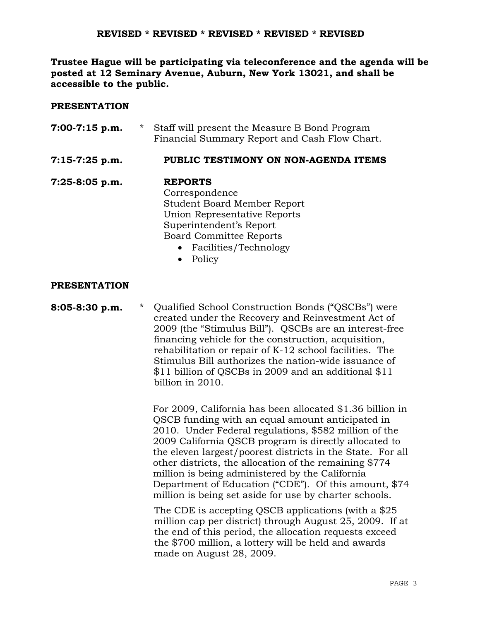**Trustee Hague will be participating via teleconference and the agenda will be posted at 12 Seminary Avenue, Auburn, New York 13021, and shall be accessible to the public.** 

### **PRESENTATION**

| 7:00-7:15 p.m. | $\star$ | Staff will present the Measure B Bond Program<br>Financial Summary Report and Cash Flow Chart. |
|----------------|---------|------------------------------------------------------------------------------------------------|
| 7:15-7:25 p.m. |         | PUBLIC TESTIMONY ON NON-AGENDA ITEMS                                                           |
| 7:25-8:05 p.m. |         | <b>REPORTS</b>                                                                                 |
|                |         | Correspondence                                                                                 |
|                |         | <b>Student Board Member Report</b>                                                             |
|                |         | Union Representative Reports                                                                   |
|                |         | Superintendent's Report                                                                        |
|                |         | <b>Board Committee Reports</b>                                                                 |
|                |         | • Facilities/Technology                                                                        |
|                |         | Policy                                                                                         |

### **PRESENTATION**

## **8:05-8:30 p.m.** \* Qualified School Construction Bonds ("QSCBs") were created under the Recovery and Reinvestment Act of 2009 (the "Stimulus Bill"). QSCBs are an interest-free financing vehicle for the construction, acquisition, rehabilitation or repair of K-12 school facilities. The Stimulus Bill authorizes the nation-wide issuance of \$11 billion of QSCBs in 2009 and an additional \$11 billion in 2010.

 For 2009, California has been allocated \$1.36 billion in QSCB funding with an equal amount anticipated in 2010. Under Federal regulations, \$582 million of the 2009 California QSCB program is directly allocated to the eleven largest/poorest districts in the State. For all other districts, the allocation of the remaining \$774 million is being administered by the California Department of Education ("CDE"). Of this amount, \$74 million is being set aside for use by charter schools.

 The CDE is accepting QSCB applications (with a \$25 million cap per district) through August 25, 2009. If at the end of this period, the allocation requests exceed the \$700 million, a lottery will be held and awards made on August 28, 2009.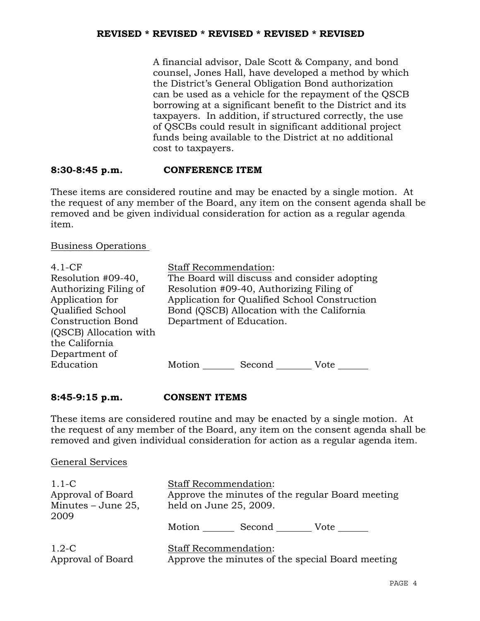A financial advisor, Dale Scott & Company, and bond counsel, Jones Hall, have developed a method by which the District's General Obligation Bond authorization can be used as a vehicle for the repayment of the QSCB borrowing at a significant benefit to the District and its taxpayers. In addition, if structured correctly, the use of QSCBs could result in significant additional project funds being available to the District at no additional cost to taxpayers.

## **8:30-8:45 p.m. CONFERENCE ITEM**

These items are considered routine and may be enacted by a single motion. At the request of any member of the Board, any item on the consent agenda shall be removed and be given individual consideration for action as a regular agenda item.

Business Operations

| $4.1-CF$<br>Resolution #09-40,<br>Authorizing Filing of<br>Application for<br>Qualified School<br><b>Construction Bond</b><br>(QSCB) Allocation with<br>the California<br>Department of | <b>Staff Recommendation:</b><br>The Board will discuss and consider adopting<br>Resolution #09-40, Authorizing Filing of<br>Application for Qualified School Construction<br>Bond (QSCB) Allocation with the California<br>Department of Education. |
|-----------------------------------------------------------------------------------------------------------------------------------------------------------------------------------------|-----------------------------------------------------------------------------------------------------------------------------------------------------------------------------------------------------------------------------------------------------|
| Education                                                                                                                                                                               | Motion<br>Second<br>Vote                                                                                                                                                                                                                            |

### **8:45-9:15 p.m. CONSENT ITEMS**

These items are considered routine and may be enacted by a single motion. At the request of any member of the Board, any item on the consent agenda shall be removed and given individual consideration for action as a regular agenda item.

### General Services

| $1.1\text{-C}$<br>Approval of Board<br>Minutes $-$ June 25,<br>2009 | <b>Staff Recommendation:</b><br>Approve the minutes of the regular Board meeting<br>held on June 25, 2009. |  |
|---------------------------------------------------------------------|------------------------------------------------------------------------------------------------------------|--|
|                                                                     | Second<br>Motion<br>Vote                                                                                   |  |
| $1.2 - C$<br>Approval of Board                                      | <b>Staff Recommendation:</b><br>Approve the minutes of the special Board meeting                           |  |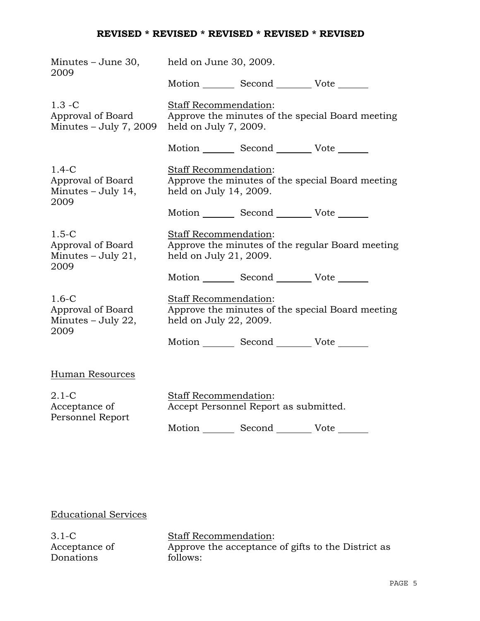| Minutes – June 30,<br>2009                                   | held on June 30, 2009.                                                                                     |                                                 |                                                  |  |
|--------------------------------------------------------------|------------------------------------------------------------------------------------------------------------|-------------------------------------------------|--------------------------------------------------|--|
|                                                              |                                                                                                            | Motion _________ Second __________ Vote _______ |                                                  |  |
| $1.3 - C$<br>Approval of Board<br>Minutes $-$ July 7, 2009   | Staff Recommendation:<br>Approve the minutes of the special Board meeting<br>held on July 7, 2009.         |                                                 |                                                  |  |
|                                                              |                                                                                                            | Motion _________ Second __________ Vote _______ |                                                  |  |
| $1.4-C$<br>Approval of Board<br>Minutes $-$ July 14,<br>2009 | Staff Recommendation:<br>held on July 14, 2009.                                                            |                                                 | Approve the minutes of the special Board meeting |  |
|                                                              |                                                                                                            | Motion _________ Second _________ Vote _______  |                                                  |  |
| $1.5-C$<br>Approval of Board<br>Minutes $-$ July 21,<br>2009 | <b>Staff Recommendation:</b><br>Approve the minutes of the regular Board meeting<br>held on July 21, 2009. |                                                 |                                                  |  |
|                                                              |                                                                                                            | Motion Second Vote                              |                                                  |  |
| $1.6 - C$<br>Approval of Board<br>Minutes - July 22,<br>2009 | Staff Recommendation:<br>held on July 22, 2009.                                                            |                                                 | Approve the minutes of the special Board meeting |  |
|                                                              |                                                                                                            | Motion _________ Second __________ Vote _______ |                                                  |  |
| Human Resources                                              |                                                                                                            |                                                 |                                                  |  |
| $2.1-C$<br>Acceptance of<br>Personnel Report                 | Staff Recommendation:                                                                                      | Accept Personnel Report as submitted.           |                                                  |  |

Motion Second Vote \_\_\_\_\_\_\_

# Educational Services

3.1-C Acceptance of Donations

Staff Recommendation: Approve the acceptance of gifts to the District as follows: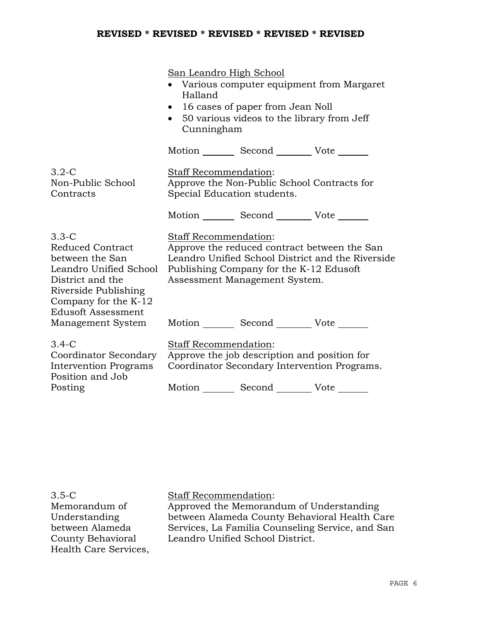|                                                                                                                                                                           | San Leandro High School<br>• Various computer equipment from Margaret<br>Halland<br>16 cases of paper from Jean Noll<br>$\bullet$<br>• 50 various videos to the library from Jeff<br>Cunningham        |  |  |
|---------------------------------------------------------------------------------------------------------------------------------------------------------------------------|--------------------------------------------------------------------------------------------------------------------------------------------------------------------------------------------------------|--|--|
|                                                                                                                                                                           | Motion _________ Second __________ Vote _______                                                                                                                                                        |  |  |
| $3.2-C$<br>Non-Public School<br>Contracts                                                                                                                                 | Staff Recommendation:<br>Approve the Non-Public School Contracts for<br>Special Education students.                                                                                                    |  |  |
|                                                                                                                                                                           | Motion _________ Second __________ Vote _______                                                                                                                                                        |  |  |
| $3.3-C$<br>Reduced Contract<br>between the San<br>Leandro Unified School<br>District and the<br>Riverside Publishing<br>Company for the K-12<br><b>Edusoft Assessment</b> | Staff Recommendation:<br>Approve the reduced contract between the San<br>Leandro Unified School District and the Riverside<br>Publishing Company for the K-12 Edusoft<br>Assessment Management System. |  |  |
| Management System                                                                                                                                                         | Motion _________ Second __________ Vote _______                                                                                                                                                        |  |  |
| $3.4-C$<br>Coordinator Secondary<br><b>Intervention Programs</b><br>Position and Job                                                                                      | Staff Recommendation:<br>Approve the job description and position for<br>Coordinator Secondary Intervention Programs.                                                                                  |  |  |
| Posting                                                                                                                                                                   | Motion _________ Second __________ Vote _______                                                                                                                                                        |  |  |

3.5-C Memorandum of Understanding between Alameda County Behavioral Health Care Services, Staff Recommendation:

Approved the Memorandum of Understanding between Alameda County Behavioral Health Care Services, La Familia Counseling Service, and San Leandro Unified School District.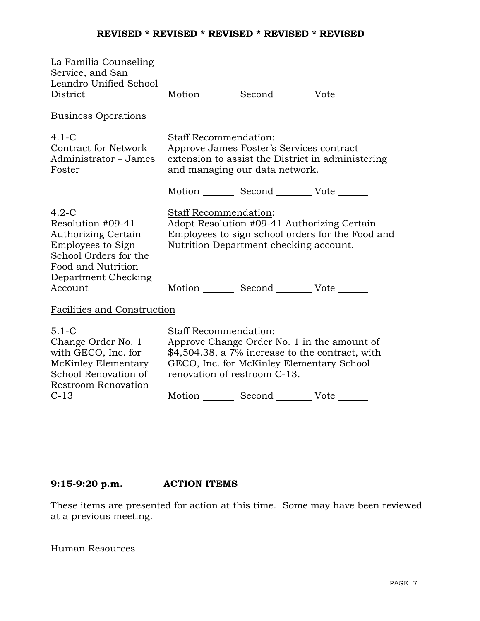| La Familia Counseling<br>Service, and San<br>Leandro Unified School<br>District                                                                |                                                                                                                                                                                                                                                                  | Motion _________ Second __________ Vote _______ |  |
|------------------------------------------------------------------------------------------------------------------------------------------------|------------------------------------------------------------------------------------------------------------------------------------------------------------------------------------------------------------------------------------------------------------------|-------------------------------------------------|--|
| <b>Business Operations</b>                                                                                                                     |                                                                                                                                                                                                                                                                  |                                                 |  |
| $4.1 - C$<br><b>Contract for Network</b><br>Administrator - James<br>Foster                                                                    | <b>Staff Recommendation:</b><br>Approve James Foster's Services contract<br>extension to assist the District in administering<br>and managing our data network.                                                                                                  |                                                 |  |
|                                                                                                                                                |                                                                                                                                                                                                                                                                  | Motion _________ Second __________ Vote _______ |  |
| $4.2-C$<br>Resolution #09-41<br>Authorizing Certain<br>Employees to Sign<br>School Orders for the<br>Food and Nutrition<br>Department Checking | <b>Staff Recommendation:</b><br>Adopt Resolution #09-41 Authorizing Certain<br>Employees to sign school orders for the Food and<br>Nutrition Department checking account.                                                                                        |                                                 |  |
| Account                                                                                                                                        |                                                                                                                                                                                                                                                                  | Motion _________ Second __________ Vote _______ |  |
| Facilities and Construction                                                                                                                    |                                                                                                                                                                                                                                                                  |                                                 |  |
| $5.1 - C$<br>Change Order No. 1<br>with GECO, Inc. for<br>McKinley Elementary<br>School Renovation of<br>Restroom Renovation<br>$C-13$         | <b>Staff Recommendation:</b><br>Approve Change Order No. 1 in the amount of<br>$$4,504.38$ , a 7% increase to the contract, with<br>GECO, Inc. for McKinley Elementary School<br>renovation of restroom C-13.<br>Motion _________ Second __________ Vote _______ |                                                 |  |
|                                                                                                                                                |                                                                                                                                                                                                                                                                  |                                                 |  |

# **9:15-9:20 p.m. ACTION ITEMS**

These items are presented for action at this time. Some may have been reviewed at a previous meeting.

# Human Resources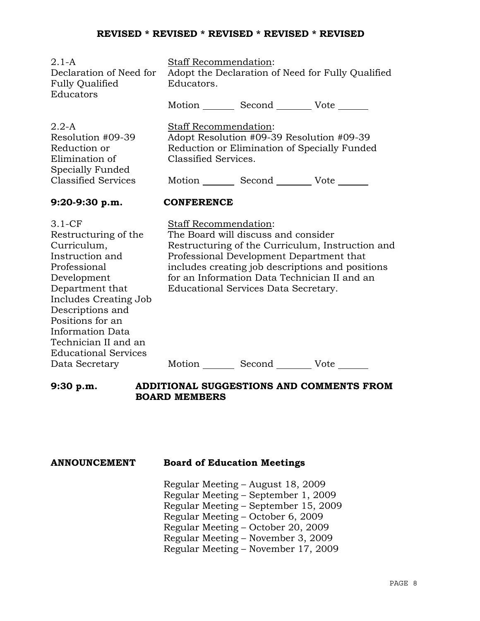| $2.1-A$<br>Declaration of Need for<br><b>Fully Qualified</b><br>Educators                                                                                                                                                                                               | Staff Recommendation:<br>Adopt the Declaration of Need for Fully Qualified<br>Educators.                                                                                                                                                                                                                 |  |  |  |
|-------------------------------------------------------------------------------------------------------------------------------------------------------------------------------------------------------------------------------------------------------------------------|----------------------------------------------------------------------------------------------------------------------------------------------------------------------------------------------------------------------------------------------------------------------------------------------------------|--|--|--|
|                                                                                                                                                                                                                                                                         | Motion _________ Second __________ Vote _______                                                                                                                                                                                                                                                          |  |  |  |
| $2.2-A$<br>Resolution #09-39<br>Reduction or<br>Elimination of<br>Specially Funded<br><b>Classified Services</b>                                                                                                                                                        | Staff Recommendation:<br>Adopt Resolution #09-39 Resolution #09-39<br>Reduction or Elimination of Specially Funded<br>Classified Services.<br>Motion _________ Second _________ Vote _______                                                                                                             |  |  |  |
| 9:20-9:30 p.m.                                                                                                                                                                                                                                                          | <b>CONFERENCE</b>                                                                                                                                                                                                                                                                                        |  |  |  |
| $3.1-CF$<br>Restructuring of the<br>Curriculum,<br>Instruction and<br>Professional<br>Development<br>Department that<br>Includes Creating Job<br>Descriptions and<br>Positions for an<br><b>Information Data</b><br>Technician II and an<br><b>Educational Services</b> | Staff Recommendation:<br>The Board will discuss and consider<br>Restructuring of the Curriculum, Instruction and<br>Professional Development Department that<br>includes creating job descriptions and positions<br>for an Information Data Technician II and an<br>Educational Services Data Secretary. |  |  |  |
| Data Secretary                                                                                                                                                                                                                                                          | Motion _________ Second __________ Vote _______                                                                                                                                                                                                                                                          |  |  |  |

## **9:30 p.m. ADDITIONAL SUGGESTIONS AND COMMENTS FROM BOARD MEMBERS**

## **ANNOUNCEMENT Board of Education Meetings**

Regular Meeting – August 18, 2009 Regular Meeting – September 1, 2009 Regular Meeting – September 15, 2009 Regular Meeting – October 6, 2009 Regular Meeting – October 20, 2009 Regular Meeting – November 3, 2009 Regular Meeting – November 17, 2009